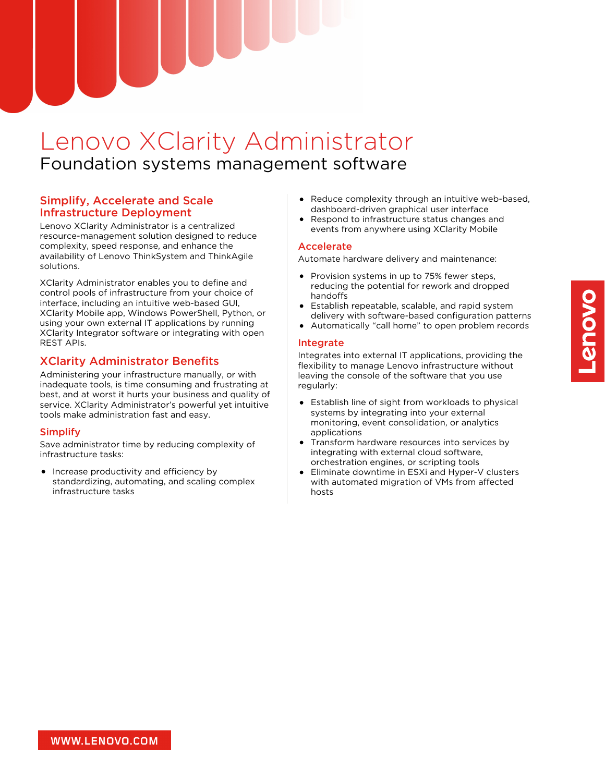# Lenovo XClarity Administrator Foundation systems management software

## Simplify, Accelerate and Scale Infrastructure Deployment

Lenovo XClarity Administrator is a centralized resource-management solution designed to reduce complexity, speed response, and enhance the availability of Lenovo ThinkSystem and ThinkAgile solutions.

XClarity Administrator enables you to define and control pools of infrastructure from your choice of interface, including an intuitive web-based GUI, XClarity Mobile app, Windows PowerShell, Python, or using your own external IT applications by running XClarity Integrator software or integrating with open REST APIs.

# XClarity Administrator Benefits

Administering your infrastructure manually, or with inadequate tools, is time consuming and frustrating at best, and at worst it hurts your business and quality of service. XClarity Administrator's powerful yet intuitive tools make administration fast and easy.

## Simplify

Save administrator time by reducing complexity of infrastructure tasks:

Increase productivity and efficiency by standardizing, automating, and scaling complex infrastructure tasks

- Reduce complexity through an intuitive web-based, dashboard-driven graphical user interface
- Respond to infrastructure status changes and events from anywhere using XClarity Mobile

## Accelerate

Automate hardware delivery and maintenance:

- Provision systems in up to 75% fewer steps, reducing the potential for rework and dropped handoffs
- Establish repeatable, scalable, and rapid system delivery with software-based configuration patterns
- Automatically "call home" to open problem records

## Integrate

Integrates into external IT applications, providing the flexibility to manage Lenovo infrastructure without leaving the console of the software that you use regularly:

- Establish line of sight from workloads to physical systems by integrating into your external monitoring, event consolidation, or analytics applications
- Transform hardware resources into services by integrating with external cloud software, orchestration engines, or scripting tools
- Eliminate downtime in ESXi and Hyper-V clusters with automated migration of VMs from affected hosts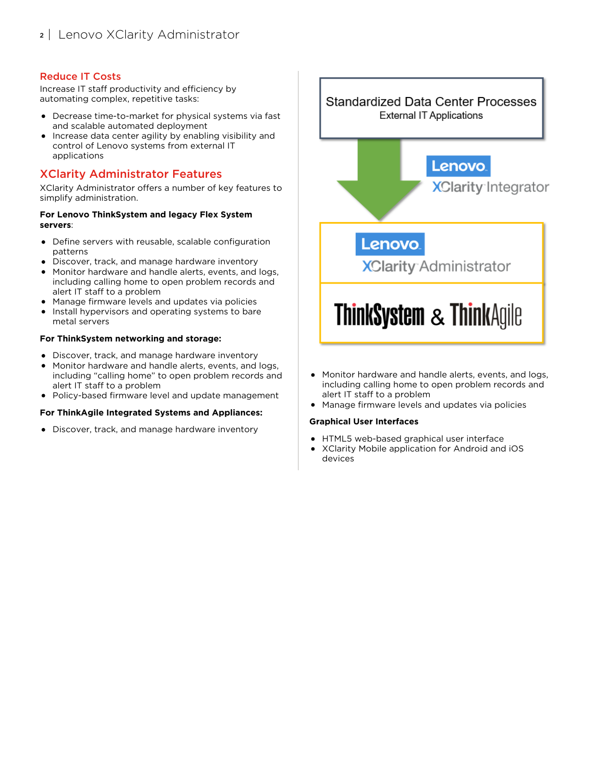## Reduce IT Costs

Increase IT staff productivity and efficiency by automating complex, repetitive tasks:

- Decrease time-to-market for physical systems via fast and scalable automated deployment
- Increase data center agility by enabling visibility and control of Lenovo systems from external IT applications

# XClarity Administrator Features

XClarity Administrator offers a number of key features to simplify administration.

#### **For Lenovo ThinkSystem and legacy Flex System servers**:

- Define servers with reusable, scalable configuration patterns
- Discover, track, and manage hardware inventory
- Monitor hardware and handle alerts, events, and logs, including calling home to open problem records and alert IT staff to a problem
- Manage firmware levels and updates via policies
- Install hypervisors and operating systems to bare metal servers

#### **For ThinkSystem networking and storage:**

- Discover, track, and manage hardware inventory
- Monitor hardware and handle alerts, events, and logs,  $\bullet$ including "calling home" to open problem records and alert IT staff to a problem
- Policy-based firmware level and update management

#### **For ThinkAgile Integrated Systems and Appliances:**

Discover, track, and manage hardware inventory

**Standardized Data Center Processes External IT Applications Lenovo XClarity Integrator Lenovo XClarity Administrator ThinkSystem & ThinkAgile** 

- Monitor hardware and handle alerts, events, and logs, including calling home to open problem records and alert IT staff to a problem
- Manage firmware levels and updates via policies

#### **Graphical User Interfaces**

- HTML5 web-based graphical user interface
- XClarity Mobile application for Android and iOS devices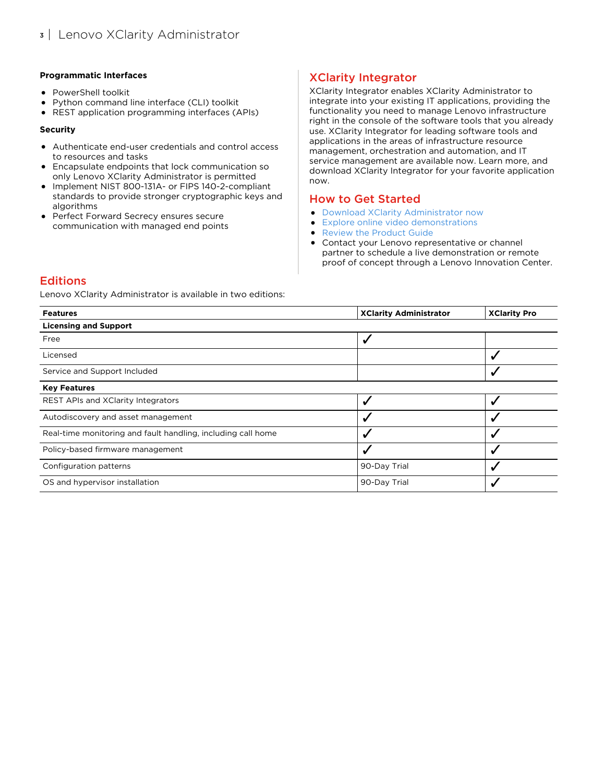#### **Programmatic Interfaces**

- PowerShell toolkit
- Python command line interface (CLI) toolkit
- REST application programming interfaces (APIs)

#### **Security**

- Authenticate end-user credentials and control access to resources and tasks
- Encapsulate endpoints that lock communication so only Lenovo XClarity Administrator is permitted
- Implement NIST 800-131A- or FIPS 140-2-compliant standards to provide stronger cryptographic keys and algorithms
- **•** Perfect Forward Secrecy ensures secure communication with managed end points

# XClarity Integrator

XClarity Integrator enables XClarity Administrator to integrate into your existing IT applications, providing the functionality you need to manage Lenovo infrastructure right in the console of the software tools that you already use. XClarity Integrator for leading software tools and applications in the areas of infrastructure resource management, orchestration and automation, and IT service management are available now. Learn more, and download XClarity Integrator for your favorite application now.

## How to Get Started

- Download XClarity [Administrator](https://datacentersupport.lenovo.com/us/en/xclaritytrial) now
- Explore online video [demonstrations](https://www.lenovopress.com/lp0037-lenovo-xclarity-demonstrations)  $\bullet$
- Review the [Product](https://www.lenovopress.com/tips1200-lenovo-xclarity-administrator) Guide  $\bullet$
- Contact your Lenovo representative or channel partner to schedule a live demonstration or remote proof of concept through a Lenovo Innovation Center.

## **Editions**

Lenovo XClarity Administrator is available in two editions:

| <b>Features</b>                                              | <b>XClarity Administrator</b> | <b>XClarity Pro</b> |
|--------------------------------------------------------------|-------------------------------|---------------------|
| <b>Licensing and Support</b>                                 |                               |                     |
| Free                                                         | ں                             |                     |
| Licensed                                                     |                               |                     |
| Service and Support Included                                 |                               |                     |
| <b>Key Features</b>                                          |                               |                     |
| <b>REST APIs and XClarity Integrators</b>                    |                               |                     |
| Autodiscovery and asset management                           |                               |                     |
| Real-time monitoring and fault handling, including call home |                               | √                   |
| Policy-based firmware management                             |                               |                     |
| Configuration patterns                                       | 90-Day Trial                  |                     |
| OS and hypervisor installation                               | 90-Day Trial                  |                     |